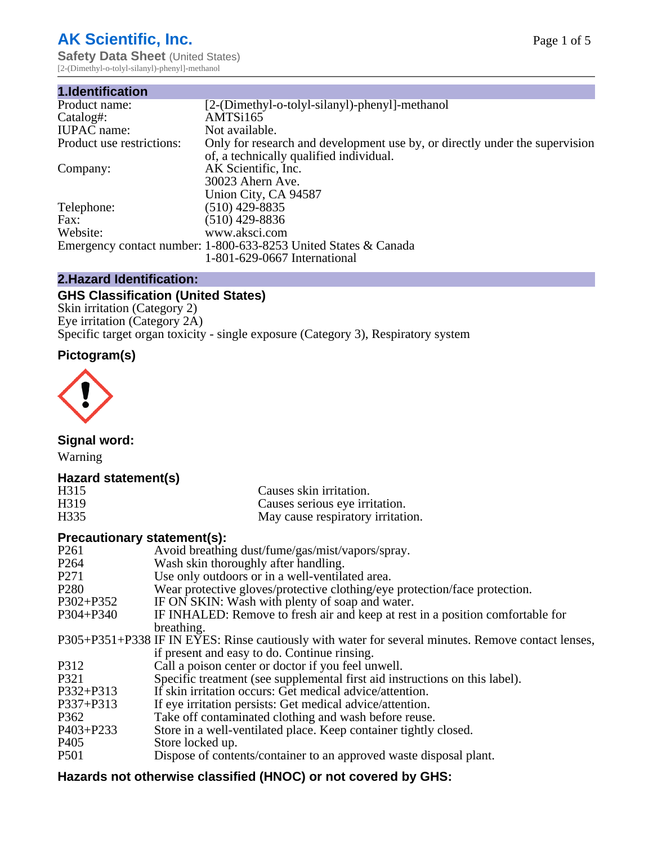# **AK Scientific, Inc.**

**Safety Data Sheet (United States)** [2-(Dimethyl-o-tolyl-silanyl)-phenyl]-methanol

| 1.Identification          |                                                                                                                        |
|---------------------------|------------------------------------------------------------------------------------------------------------------------|
| Product name:             | [2-(Dimethyl-o-tolyl-silanyl)-phenyl]-methanol                                                                         |
| Catalog#:                 | AMTSi165                                                                                                               |
| <b>IUPAC</b> name:        | Not available.                                                                                                         |
| Product use restrictions: | Only for research and development use by, or directly under the supervision<br>of, a technically qualified individual. |
| Company:                  | AK Scientific, Inc.<br>30023 Ahern Ave.<br>Union City, CA 94587                                                        |
| Telephone:                | $(510)$ 429-8835                                                                                                       |
| Fax:                      | $(510)$ 429-8836                                                                                                       |
| Website:                  | www.aksci.com                                                                                                          |
|                           | Emergency contact number: 1-800-633-8253 United States & Canada                                                        |
|                           | 1-801-629-0667 International                                                                                           |

# **2.Hazard Identification:**

# **GHS Classification (United States)**

Skin irritation (Category 2) Eye irritation (Category 2A) Specific target organ toxicity - single exposure (Category 3), Respiratory system

### **Pictogram(s)**



**Signal word:**

Warning

#### **Hazard statement(s)**

| H315              | Causes skin irritation.           |
|-------------------|-----------------------------------|
| H <sub>3</sub> 19 | Causes serious eye irritation.    |
| H335              | May cause respiratory irritation. |

#### **Precautionary statement(s):**

| P <sub>261</sub> | Avoid breathing dust/fume/gas/mist/vapors/spray.                                                   |
|------------------|----------------------------------------------------------------------------------------------------|
| P <sub>264</sub> | Wash skin thoroughly after handling.                                                               |
| P <sub>271</sub> | Use only outdoors or in a well-ventilated area.                                                    |
| P <sub>280</sub> | Wear protective gloves/protective clothing/eye protection/face protection.                         |
| P302+P352        | IF ON SKIN: Wash with plenty of soap and water.                                                    |
| $P304 + P340$    | IF INHALED: Remove to fresh air and keep at rest in a position comfortable for                     |
|                  | breathing.                                                                                         |
|                  | P305+P351+P338 IF IN EYES: Rinse cautiously with water for several minutes. Remove contact lenses, |
|                  | if present and easy to do. Continue rinsing.                                                       |
| P312             | Call a poison center or doctor if you feel unwell.                                                 |
| P321             | Specific treatment (see supplemental first aid instructions on this label).                        |
| P332+P313        | If skin irritation occurs: Get medical advice/attention.                                           |
| P337+P313        | If eye irritation persists: Get medical advice/attention.                                          |
| P362             | Take off contaminated clothing and wash before reuse.                                              |
| $P403 + P233$    | Store in a well-ventilated place. Keep container tightly closed.                                   |
| P <sub>405</sub> | Store locked up.                                                                                   |
| P <sub>501</sub> | Dispose of contents/container to an approved waste disposal plant.                                 |
|                  |                                                                                                    |

# **Hazards not otherwise classified (HNOC) or not covered by GHS:**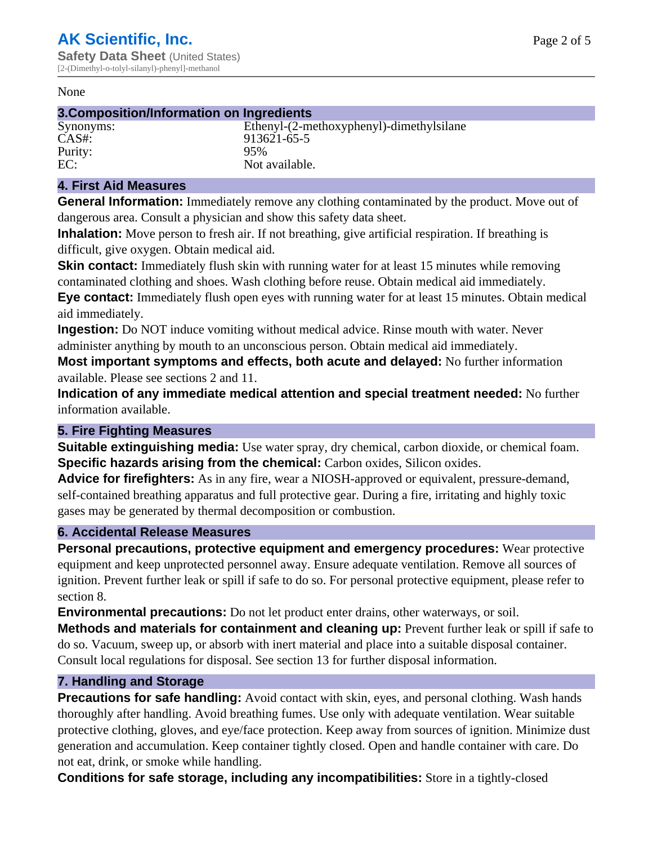#### None

#### **3.Composition/Information on Ingredients**

# Purity:<br>EC:

Synonyms: Ethenyl-(2-methoxyphenyl)-dimethylsilane CAS#: 913621-65-5<br>Purity: 95% Not available.

#### **4. First Aid Measures**

**General Information:** Immediately remove any clothing contaminated by the product. Move out of dangerous area. Consult a physician and show this safety data sheet.

**Inhalation:** Move person to fresh air. If not breathing, give artificial respiration. If breathing is difficult, give oxygen. Obtain medical aid.

**Skin contact:** Immediately flush skin with running water for at least 15 minutes while removing contaminated clothing and shoes. Wash clothing before reuse. Obtain medical aid immediately. **Eye contact:** Immediately flush open eyes with running water for at least 15 minutes. Obtain medical aid immediately.

**Ingestion:** Do NOT induce vomiting without medical advice. Rinse mouth with water. Never administer anything by mouth to an unconscious person. Obtain medical aid immediately.

**Most important symptoms and effects, both acute and delayed:** No further information available. Please see sections 2 and 11.

**Indication of any immediate medical attention and special treatment needed:** No further information available.

#### **5. Fire Fighting Measures**

**Suitable extinguishing media:** Use water spray, dry chemical, carbon dioxide, or chemical foam. **Specific hazards arising from the chemical:** Carbon oxides, Silicon oxides.

**Advice for firefighters:** As in any fire, wear a NIOSH-approved or equivalent, pressure-demand, self-contained breathing apparatus and full protective gear. During a fire, irritating and highly toxic gases may be generated by thermal decomposition or combustion.

#### **6. Accidental Release Measures**

**Personal precautions, protective equipment and emergency procedures:** Wear protective equipment and keep unprotected personnel away. Ensure adequate ventilation. Remove all sources of ignition. Prevent further leak or spill if safe to do so. For personal protective equipment, please refer to section 8.

**Environmental precautions:** Do not let product enter drains, other waterways, or soil.

**Methods and materials for containment and cleaning up:** Prevent further leak or spill if safe to do so. Vacuum, sweep up, or absorb with inert material and place into a suitable disposal container. Consult local regulations for disposal. See section 13 for further disposal information.

#### **7. Handling and Storage**

**Precautions for safe handling:** Avoid contact with skin, eyes, and personal clothing. Wash hands thoroughly after handling. Avoid breathing fumes. Use only with adequate ventilation. Wear suitable protective clothing, gloves, and eye/face protection. Keep away from sources of ignition. Minimize dust generation and accumulation. Keep container tightly closed. Open and handle container with care. Do not eat, drink, or smoke while handling.

**Conditions for safe storage, including any incompatibilities:** Store in a tightly-closed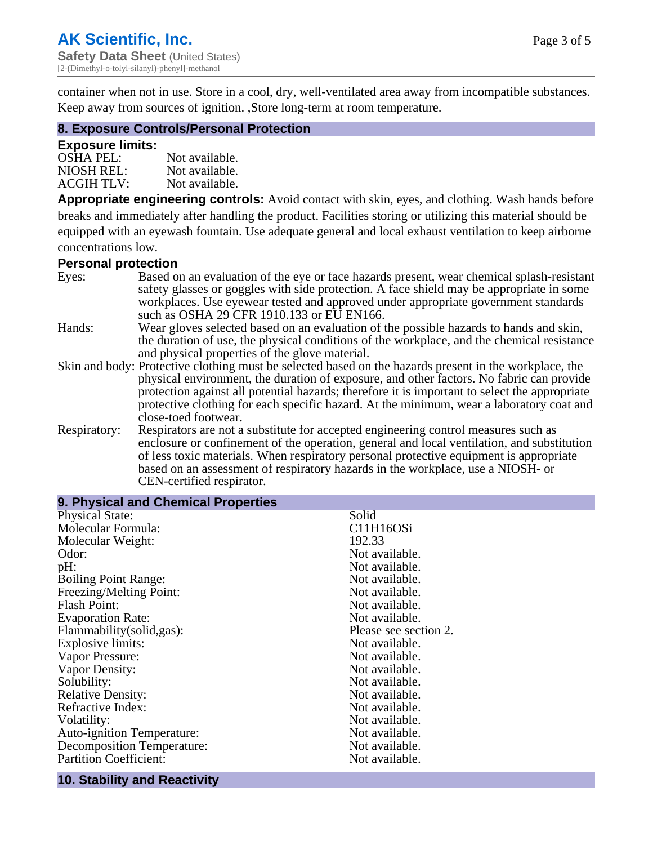container when not in use. Store in a cool, dry, well-ventilated area away from incompatible substances. Keep away from sources of ignition. ,Store long-term at room temperature.

#### **8. Exposure Controls/Personal Protection**

#### **Exposure limits:**

| <b>OSHA PEL:</b>  | Not available. |
|-------------------|----------------|
| NIOSH REL:        | Not available. |
| <b>ACGIH TLV:</b> | Not available. |

**Appropriate engineering controls:** Avoid contact with skin, eyes, and clothing. Wash hands before breaks and immediately after handling the product. Facilities storing or utilizing this material should be equipped with an eyewash fountain. Use adequate general and local exhaust ventilation to keep airborne concentrations low.

#### **Personal protection**

| Eyes:        | Based on an evaluation of the eye or face hazards present, wear chemical splash-resistant<br>safety glasses or goggles with side protection. A face shield may be appropriate in some |
|--------------|---------------------------------------------------------------------------------------------------------------------------------------------------------------------------------------|
|              | workplaces. Use eyewear tested and approved under appropriate government standards<br>such as OSHA 29 CFR 1910.133 or EU EN166.                                                       |
|              |                                                                                                                                                                                       |
| Hands:       | Wear gloves selected based on an evaluation of the possible hazards to hands and skin,                                                                                                |
|              | the duration of use, the physical conditions of the workplace, and the chemical resistance                                                                                            |
|              | and physical properties of the glove material.                                                                                                                                        |
|              | Skin and body: Protective clothing must be selected based on the hazards present in the workplace, the                                                                                |
|              | physical environment, the duration of exposure, and other factors. No fabric can provide                                                                                              |
|              | protection against all potential hazards; therefore it is important to select the appropriate                                                                                         |
|              | protective clothing for each specific hazard. At the minimum, wear a laboratory coat and                                                                                              |
|              | close-toed footwear.                                                                                                                                                                  |
| Respiratory: | Respirators are not a substitute for accepted engineering control measures such as                                                                                                    |
|              | enclosure or confinement of the operation, general and local ventilation, and substitution                                                                                            |
|              | of less toxic materials. When respiratory personal protective equipment is appropriate                                                                                                |
|              | based on an assessment of respiratory hazards in the workplace, use a NIOSH- or                                                                                                       |
|              | CEN-certified respirator.                                                                                                                                                             |

| 9. Physical and Chemical Properties |                       |
|-------------------------------------|-----------------------|
| <b>Physical State:</b>              | Solid                 |
| Molecular Formula:                  | C11H16OSi             |
| Molecular Weight:                   | 192.33                |
| Odor:                               | Not available.        |
| pH:                                 | Not available.        |
| <b>Boiling Point Range:</b>         | Not available.        |
| Freezing/Melting Point:             | Not available.        |
| <b>Flash Point:</b>                 | Not available.        |
| <b>Evaporation Rate:</b>            | Not available.        |
| Flammability(solid,gas):            | Please see section 2. |
| <b>Explosive limits:</b>            | Not available.        |
| Vapor Pressure:                     | Not available.        |
| Vapor Density:                      | Not available.        |
| Solubility:                         | Not available.        |
| <b>Relative Density:</b>            | Not available.        |
| Refractive Index:                   | Not available.        |
| Volatility:                         | Not available.        |
| <b>Auto-ignition Temperature:</b>   | Not available.        |
| Decomposition Temperature:          | Not available.        |
| <b>Partition Coefficient:</b>       | Not available.        |
|                                     |                       |

# **10. Stability and Reactivity**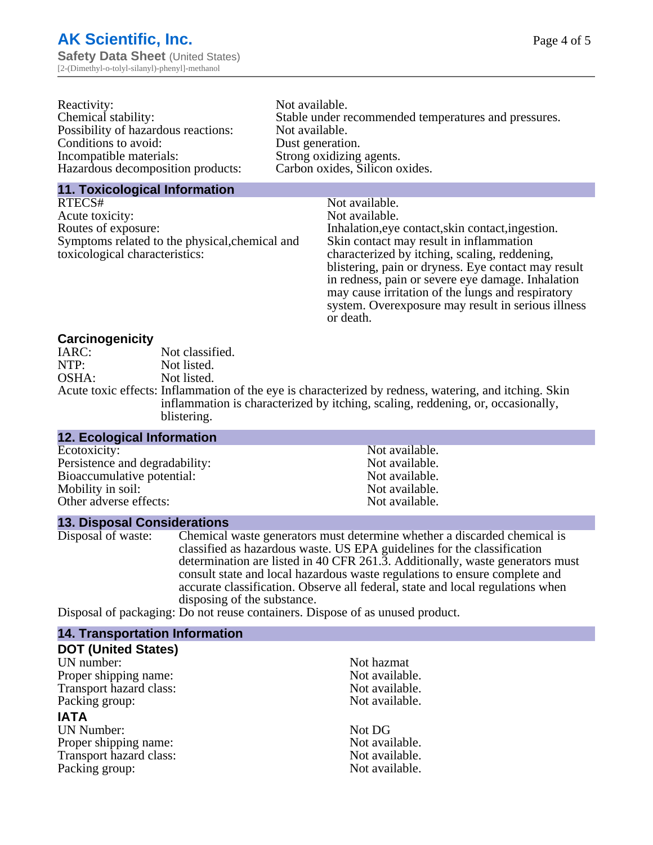| Reactivity:                         | Not available.                                       |
|-------------------------------------|------------------------------------------------------|
| Chemical stability:                 | Stable under recommended temperatures and pressures. |
| Possibility of hazardous reactions: | Not available.                                       |
| Conditions to avoid:                | Dust generation.                                     |
| Incompatible materials:             | Strong oxidizing agents.                             |
| Hazardous decomposition products:   | Carbon oxides, Silicon oxides.                       |
|                                     |                                                      |

#### **11. Toxicological Information**

| RTECS#                                         | Not available.                                      |
|------------------------------------------------|-----------------------------------------------------|
| Acute toxicity:                                | Not available.                                      |
| Routes of exposure:                            | Inhalation, eye contact, skin contact, ingestion.   |
| Symptoms related to the physical, chemical and | Skin contact may result in inflammation             |
| toxicological characteristics:                 | characterized by itching, scaling, reddening,       |
|                                                | blistering, pain or dryness. Eye contact may result |
|                                                | in redness, pain or severe eye damage. Inhalation   |
|                                                | may cause irritation of the lungs and respiratory   |
|                                                | system. Overexposure may result in serious illness  |

or death.

#### **Carcinogenicity**

| IARC: | Not classified.                                                                                       |
|-------|-------------------------------------------------------------------------------------------------------|
| NTP:  | Not listed.                                                                                           |
| OSHA: | Not listed.                                                                                           |
|       | Acute toxic effects: Inflammation of the eye is characterized by redness, watering, and itching. Skin |
|       | inflammation is characterized by itching, scaling, reddening, or, occasionally,                       |
|       | blistering.                                                                                           |

| 12. Ecological Information     |                |  |
|--------------------------------|----------------|--|
| Ecotoxicity:                   | Not available. |  |
| Persistence and degradability: | Not available. |  |
| Bioaccumulative potential:     | Not available. |  |
| Mobility in soil:              | Not available. |  |
| Other adverse effects:         | Not available. |  |
|                                |                |  |

#### **13. Disposal Considerations**

Disposal of waste: Chemical waste generators must determine whether a discarded chemical is classified as hazardous waste. US EPA guidelines for the classification determination are listed in 40 CFR 261.3. Additionally, waste generators must consult state and local hazardous waste regulations to ensure complete and accurate classification. Observe all federal, state and local regulations when disposing of the substance.

Disposal of packaging: Do not reuse containers. Dispose of as unused product.

| <b>14. Transportation Information</b> |                |
|---------------------------------------|----------------|
| <b>DOT (United States)</b>            |                |
| UN number:                            | Not hazmat     |
| Proper shipping name:                 | Not available. |
| Transport hazard class:               | Not available. |
| Packing group:                        | Not available. |
| <b>IATA</b>                           |                |
| <b>UN Number:</b>                     | Not DG         |
| Proper shipping name:                 | Not available. |
| Transport hazard class:               | Not available. |
| Packing group:                        | Not available. |